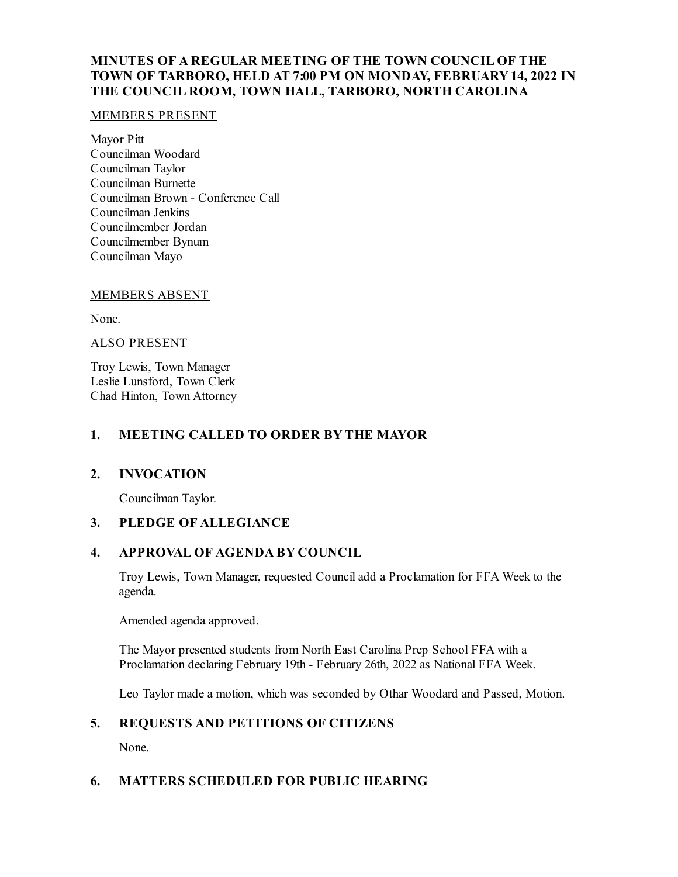# **MINUTES OF A REGULAR MEETING OF THE TOWN COUNCIL OF THE TOWN OF TARBORO, HELD AT 7:00 PM ON MONDAY, FEBRUARY14, 2022 IN THE COUNCIL ROOM, TOWN HALL, TARBORO, NORTH CAROLINA**

#### MEMBERS PRESENT

Mayor Pitt Councilman Woodard Councilman Taylor Councilman Burnette Councilman Brown - Conference Call Councilman Jenkins Councilmember Jordan Councilmember Bynum Councilman Mayo

#### MEMBERS ABSENT

None.

#### ALSO PRESENT

Troy Lewis, Town Manager Leslie Lunsford, Town Clerk Chad Hinton, Town Attorney

#### **1. MEETING CALLED TO ORDER BY THE MAYOR**

## **2. INVOCATION**

Councilman Taylor.

## **3. PLEDGE OF ALLEGIANCE**

## **4. APPROVAL OF AGENDA BY COUNCIL**

Troy Lewis, Town Manager, requested Counciladd a Proclamation for FFA Week to the agenda.

Amended agenda approved.

The Mayor presented students from North East Carolina Prep School FFA with a Proclamation declaring February 19th - February 26th, 2022 as National FFA Week.

Leo Taylor made a motion, which was seconded by Othar Woodard and Passed, Motion.

## **5. REQUESTS AND PETITIONS OF CITIZENS**

None.

## **6. MATTERS SCHEDULED FOR PUBLIC HEARING**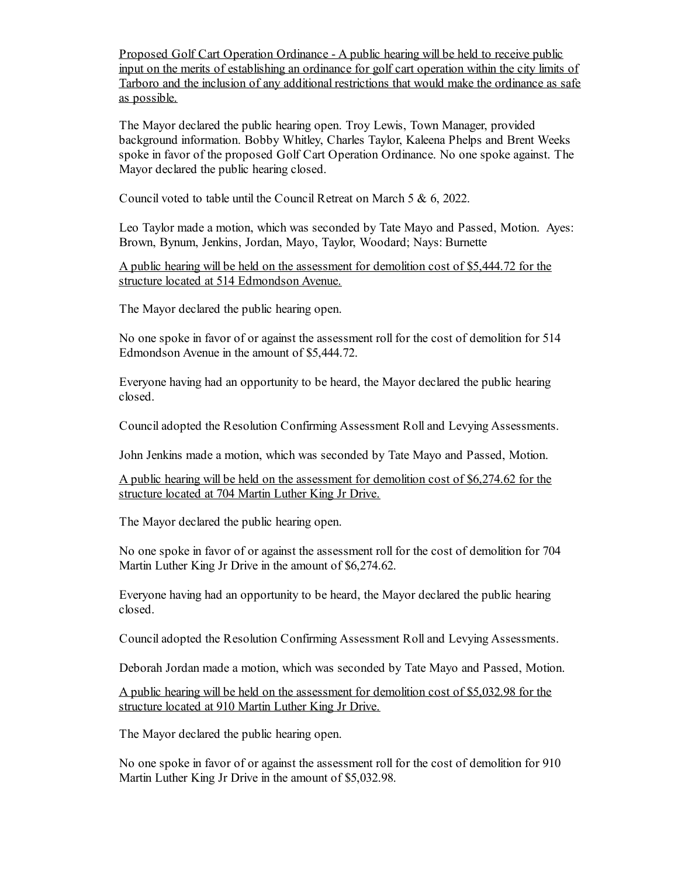Proposed Golf Cart Operation Ordinance - A public hearing will be held to receive public input on the merits of establishing an ordinance for golf cart operation within the city limits of Tarboro and the inclusion of any additional restrictions that would make the ordinance as safe as possible.

The Mayor declared the public hearing open. Troy Lewis, Town Manager, provided background information. Bobby Whitley, Charles Taylor, Kaleena Phelps and Brent Weeks spoke in favor of the proposed Golf Cart Operation Ordinance. No one spoke against. The Mayor declared the public hearing closed.

Council voted to table until the Council Retreat on March 5 & 6, 2022.

Leo Taylor made a motion, which was seconded by Tate Mayo and Passed, Motion. Ayes: Brown, Bynum, Jenkins, Jordan, Mayo, Taylor, Woodard; Nays: Burnette

A public hearing will be held on the assessment for demolition cost of \$5,444.72 for the structure located at 514 Edmondson Avenue.

The Mayor declared the public hearing open.

No one spoke in favor of or against the assessment roll for the cost of demolition for 514 Edmondson Avenue in the amount of \$5,444.72.

Everyone having had an opportunity to be heard, the Mayor declared the public hearing closed.

Counciladopted the Resolution Confirming Assessment Rolland Levying Assessments.

John Jenkins made a motion, which was seconded by Tate Mayo and Passed, Motion.

A public hearing will be held on the assessment for demolition cost of \$6,274.62 for the structure located at 704 Martin Luther King Jr Drive.

The Mayor declared the public hearing open.

No one spoke in favor of or against the assessment roll for the cost of demolition for 704 Martin Luther King Jr Drive in the amount of \$6,274.62.

Everyone having had an opportunity to be heard, the Mayor declared the public hearing closed.

Counciladopted the Resolution Confirming Assessment Rolland Levying Assessments.

Deborah Jordan made a motion, which was seconded by Tate Mayo and Passed, Motion.

A public hearing will be held on the assessment for demolition cost of \$5,032.98 for the structure located at 910 Martin Luther King Jr Drive.

The Mayor declared the public hearing open.

No one spoke in favor of or against the assessment roll for the cost of demolition for 910 Martin Luther King Jr Drive in the amount of \$5,032.98.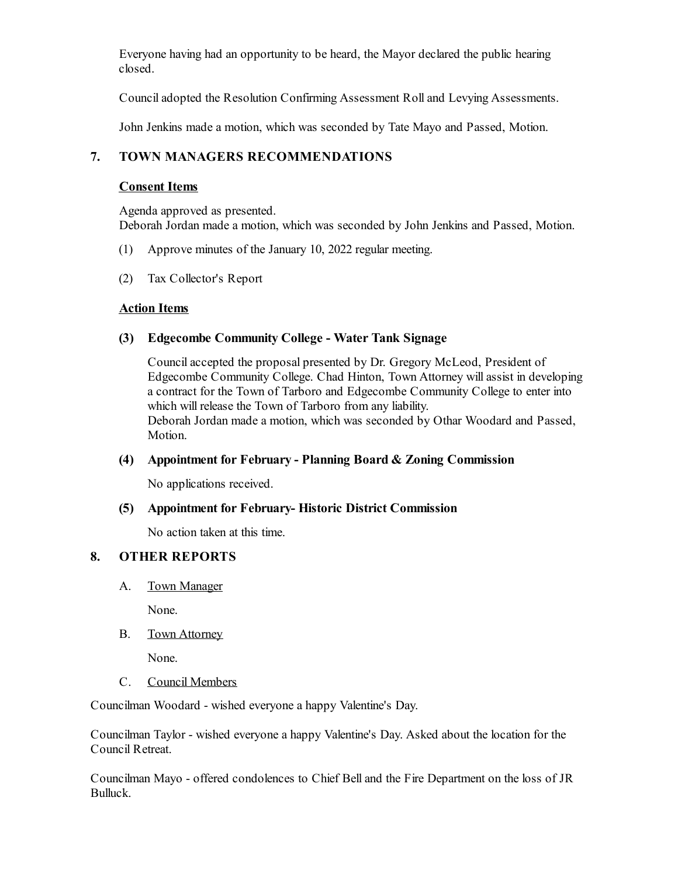Everyone having had an opportunity to be heard, the Mayor declared the public hearing closed.

Counciladopted the Resolution Confirming Assessment Rolland Levying Assessments.

John Jenkins made a motion, which was seconded by Tate Mayo and Passed, Motion.

# **7. TOWN MANAGERS RECOMMENDATIONS**

#### **Consent Items**

Agenda approved as presented. Deborah Jordan made a motion, which was seconded by John Jenkins and Passed, Motion.

- (1) Approve minutes of the January 10, 2022 regular meeting.
- (2) Tax Collector's Report

## **Action Items**

#### **(3) Edgecombe Community College - Water Tank Signage**

Councilaccepted the proposal presented by Dr. Gregory McLeod, President of Edgecombe Community College. Chad Hinton, Town Attorney willassist in developing a contract for the Town of Tarboro and Edgecombe Community College to enter into which will release the Town of Tarboro from any liability. Deborah Jordan made a motion, which was seconded by Othar Woodard and Passed, Motion.

## **(4) Appointment for February - Planning Board & Zoning Commission**

No applications received.

#### **(5) Appointment for February- Historic District Commission**

No action taken at this time.

## **8. OTHER REPORTS**

A. Town Manager

None.

B. Town Attorney

None.

C. Council Members

Councilman Woodard - wished everyone a happy Valentine's Day.

Councilman Taylor - wished everyone a happy Valentine's Day. Asked about the location for the Council Retreat.

Councilman Mayo - offered condolences to Chief Belland the Fire Department on the loss of JR Bulluck.